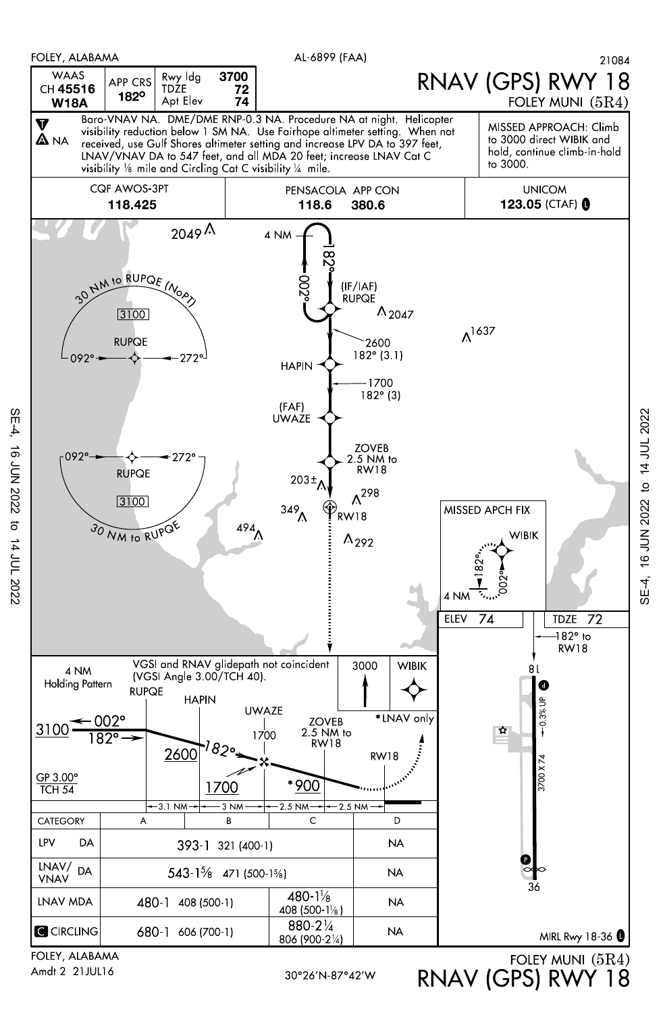

Amdt 2 21JUL16

SE-4, 16 JUN 2022 to 14 JUL 2022

 $\vec{\sigma}$ 

14 JUL 2022

16 JUN 2022

 $SE-4$ 

RNAV (GPS) RWY 18